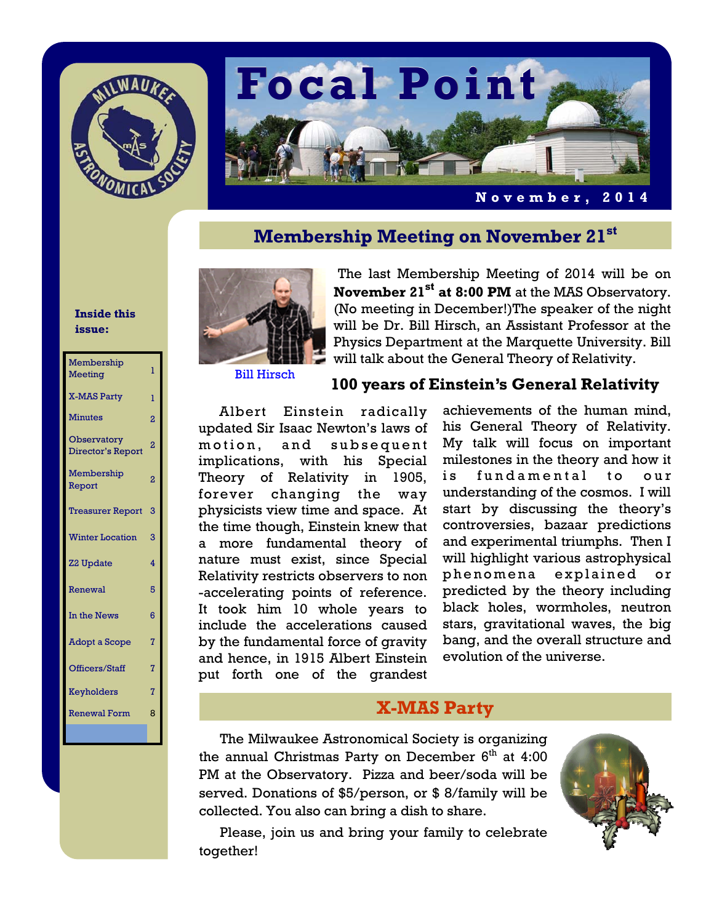



**November, 2014** 

# **Membership Meeting on November 21st**

#### **Inside this issue:**

| Membership<br>Meeting                   | ī              |
|-----------------------------------------|----------------|
| <b>X-MAS Party</b>                      | T              |
| <b>Minutes</b>                          | $\overline{2}$ |
| <b>Observatory</b><br>Director's Report | 2              |
| Membership<br>Report                    | $\overline{2}$ |
| <b>Treasurer Report</b>                 | 3              |
| <b>Winter Location</b>                  | 3              |
| <b>Z2 Update</b>                        | 4              |
| Renewal                                 | 5              |
| In the News                             | 6              |
| <b>Adopt a Scope</b>                    | 7              |
| Officers/Staff                          | 7              |
| Keyholders                              | 7              |
| <b>Renewal Form</b>                     | 8              |
|                                         |                |



The last Membership Meeting of 2014 will be on **November 21st at 8:00 PM** at the MAS Observatory. (No meeting in December!)The speaker of the night will be Dr. Bill Hirsch, an Assistant Professor at the Physics Department at the Marquette University. Bill will talk about the General Theory of Relativity.

Bill Hirsch

#### **100 years of Einstein's General Relativity**

Albert Einstein radically updated Sir Isaac Newton's laws of motion, and subsequent implications, with his Special Theory of Relativity in 1905, forever changing the way physicists view time and space. At the time though, Einstein knew that a more fundamental theory of nature must exist, since Special Relativity restricts observers to non -accelerating points of reference. It took him 10 whole years to include the accelerations caused by the fundamental force of gravity and hence, in 1915 Albert Einstein put forth one of the grandest

achievements of the human mind, his General Theory of Relativity. My talk will focus on important milestones in the theory and how it is fundamental to our understanding of the cosmos. I will start by discussing the theory's controversies, bazaar predictions and experimental triumphs. Then I will highlight various astrophysical phenomena explained or predicted by the theory including black holes, wormholes, neutron stars, gravitational waves, the big bang, and the overall structure and evolution of the universe.

### **X-MAS Party**

The Milwaukee Astronomical Society is organizing the annual Christmas Party on December  $6<sup>th</sup>$  at 4:00 PM at the Observatory. Pizza and beer/soda will be served. Donations of \$5/person, or \$ 8/family will be collected. You also can bring a dish to share.



 Please, join us and bring your family to celebrate together!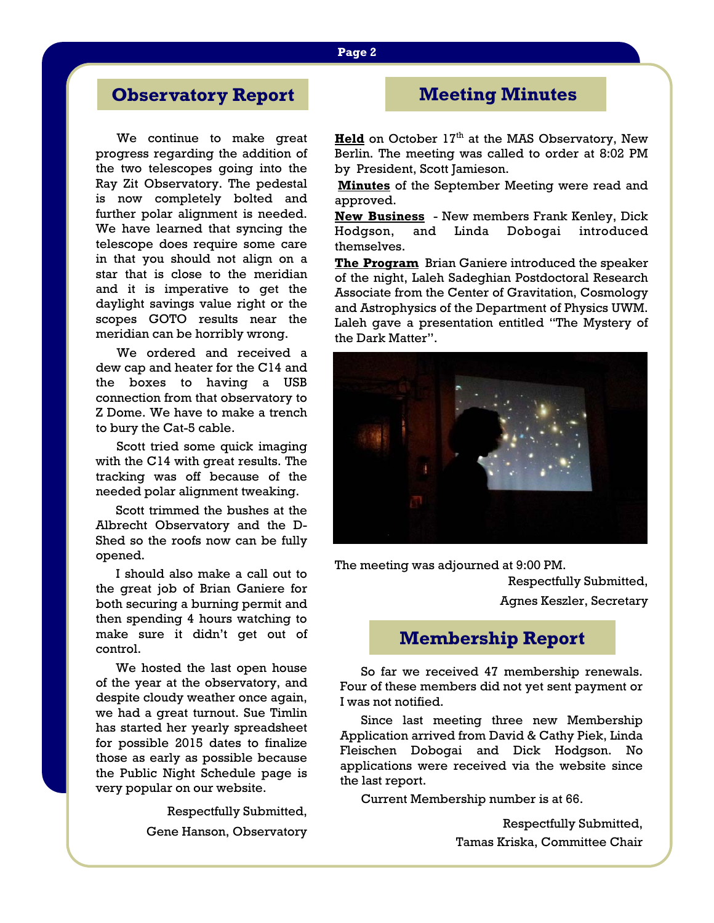# **Observatory Report**

We continue to make great progress regarding the addition of the two telescopes going into the Ray Zit Observatory. The pedestal is now completely bolted and further polar alignment is needed. We have learned that syncing the telescope does require some care in that you should not align on a star that is close to the meridian and it is imperative to get the daylight savings value right or the scopes GOTO results near the meridian can be horribly wrong.

 We ordered and received a dew cap and heater for the C14 and the boxes to having a USB connection from that observatory to Z Dome. We have to make a trench to bury the Cat-5 cable.

 Scott tried some quick imaging with the C14 with great results. The tracking was off because of the needed polar alignment tweaking.

 Scott trimmed the bushes at the Albrecht Observatory and the D-Shed so the roofs now can be fully opened.

 I should also make a call out to the great job of Brian Ganiere for both securing a burning permit and then spending 4 hours watching to make sure it didn't get out of control.

 We hosted the last open house of the year at the observatory, and despite cloudy weather once again, we had a great turnout. Sue Timlin has started her yearly spreadsheet for possible 2015 dates to finalize those as early as possible because the Public Night Schedule page is very popular on our website.

> Respectfully Submitted, Gene Hanson, Observatory

# **Meeting Minutes**

**Held** on October 17<sup>th</sup> at the MAS Observatory, New Berlin. The meeting was called to order at 8:02 PM by President, Scott Jamieson.

**Minutes** of the September Meeting were read and approved.

**New Business** - New members Frank Kenley, Dick Hodgson, and Linda Dobogai introduced themselves.

**The Program** Brian Ganiere introduced the speaker of the night, Laleh Sadeghian Postdoctoral Research Associate from the Center of Gravitation, Cosmology and Astrophysics of the Department of Physics UWM. Laleh gave a presentation entitled "The Mystery of the Dark Matter".



The meeting was adjourned at 9:00 PM.

Respectfully Submitted, Agnes Keszler, Secretary

## **Membership Report**

So far we received 47 membership renewals. Four of these members did not yet sent payment or I was not notified.

 Since last meeting three new Membership Application arrived from David & Cathy Piek, Linda Fleischen Dobogai and Dick Hodgson. No applications were received via the website since the last report.

Current Membership number is at 66.

Respectfully Submitted, Tamas Kriska, Committee Chair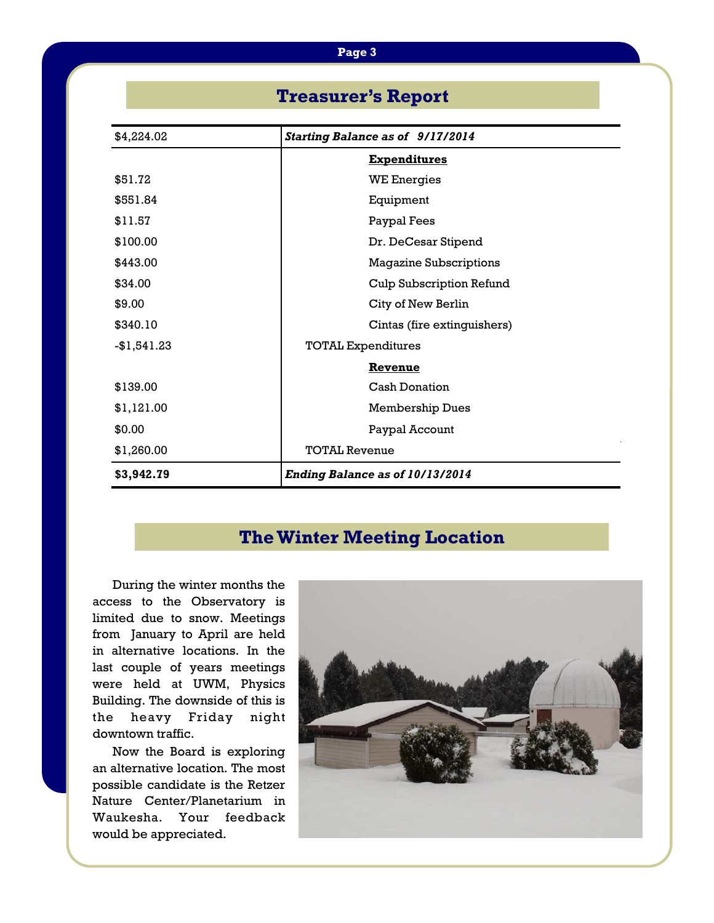| <b>Treasurer's Report</b>                             |                                        |  |
|-------------------------------------------------------|----------------------------------------|--|
| \$4,224.02<br><b>Starting Balance as of 9/17/2014</b> |                                        |  |
|                                                       | <b>Expenditures</b>                    |  |
| \$51.72                                               | <b>WE Energies</b>                     |  |
| \$551.84                                              | Equipment                              |  |
| \$11.57                                               | Paypal Fees                            |  |
| \$100.00                                              | Dr. DeCesar Stipend                    |  |
| \$443.00                                              | <b>Magazine Subscriptions</b>          |  |
| \$34.00                                               | <b>Culp Subscription Refund</b>        |  |
| \$9.00                                                | City of New Berlin                     |  |
| \$340.10                                              | Cintas (fire extinguishers)            |  |
| $-$1,541.23$                                          | <b>TOTAL Expenditures</b>              |  |
|                                                       | Revenue                                |  |
| \$139.00                                              | <b>Cash Donation</b>                   |  |
| \$1,121.00                                            | <b>Membership Dues</b>                 |  |
| \$0.00                                                | Paypal Account                         |  |
| \$1,260.00                                            | <b>TOTAL Revenue</b>                   |  |
| \$3,942.79                                            | <b>Ending Balance as of 10/13/2014</b> |  |

# **The Winter Meeting Location**

 During the winter months the access to the Observatory is limited due to snow. Meetings from January to April are held in alternative locations. In the last couple of years meetings were held at UWM, Physics Building. The downside of this is the heavy Friday night downtown traffic.

 Now the Board is exploring an alternative location. The most possible candidate is the Retzer Nature Center/Planetarium in Waukesha. Your feedback would be appreciated.

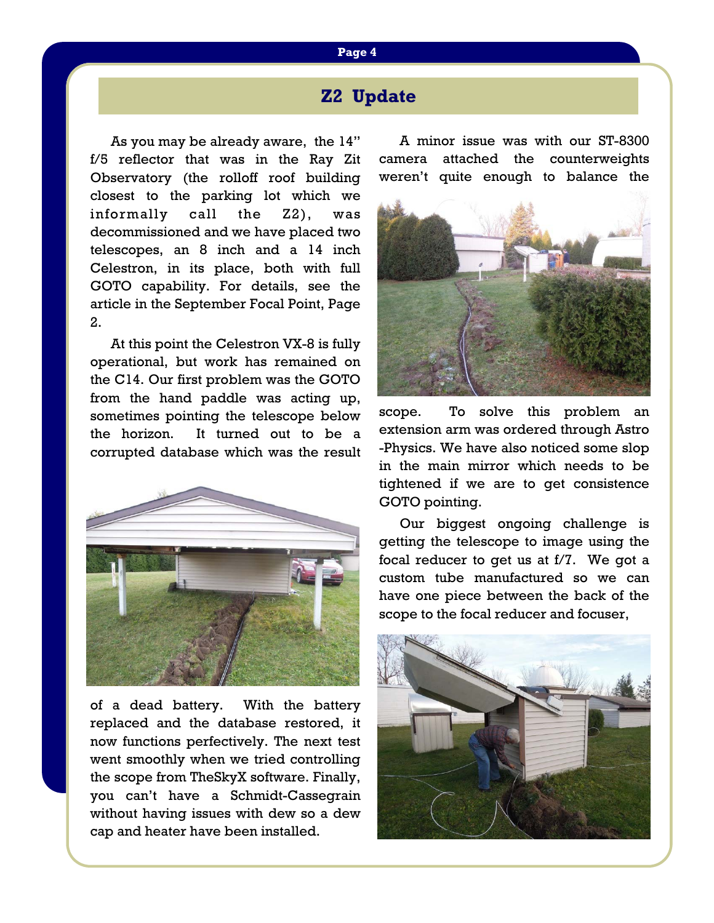# **Z2 Update**

As you may be already aware, the 14" f/5 reflector that was in the Ray Zit Observatory (the rolloff roof building closest to the parking lot which we informally call the Z2), was decommissioned and we have placed two telescopes, an 8 inch and a 14 inch Celestron, in its place, both with full GOTO capability. For details, see the article in the September Focal Point, Page 2.

 At this point the Celestron VX-8 is fully operational, but work has remained on the C14. Our first problem was the GOTO from the hand paddle was acting up, sometimes pointing the telescope below the horizon. It turned out to be a corrupted database which was the result



of a dead battery. With the battery replaced and the database restored, it now functions perfectively. The next test went smoothly when we tried controlling the scope from TheSkyX software. Finally, you can't have a Schmidt-Cassegrain without having issues with dew so a dew cap and heater have been installed.

 A minor issue was with our ST-8300 camera attached the counterweights weren't quite enough to balance the



scope. To solve this problem an extension arm was ordered through Astro -Physics. We have also noticed some slop in the main mirror which needs to be tightened if we are to get consistence GOTO pointing.

 Our biggest ongoing challenge is getting the telescope to image using the focal reducer to get us at f/7. We got a custom tube manufactured so we can have one piece between the back of the scope to the focal reducer and focuser,

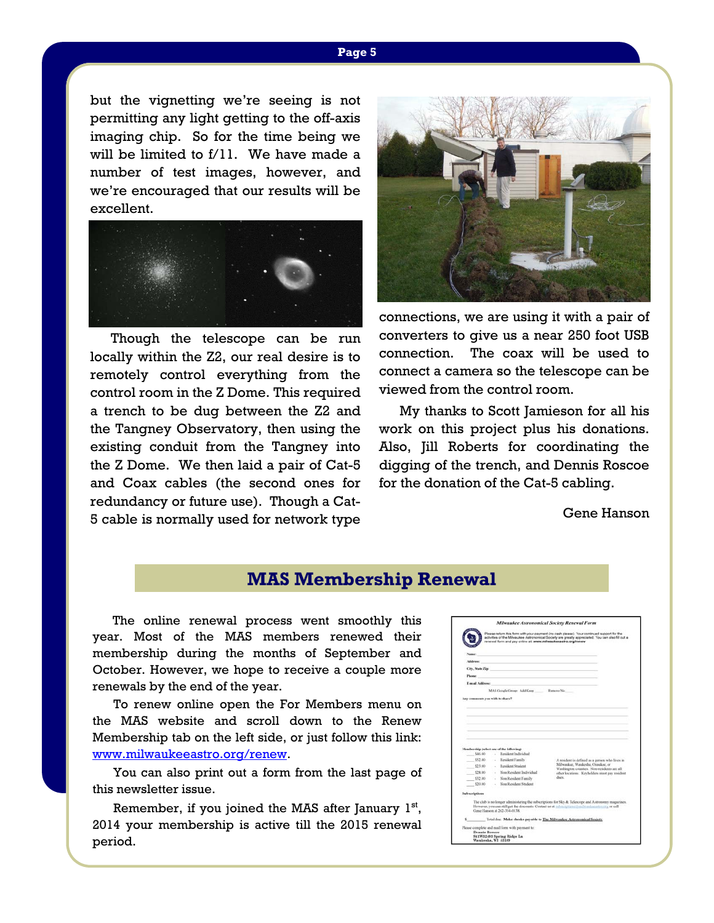but the vignetting we're seeing is not permitting any light getting to the off-axis imaging chip. So for the time being we will be limited to f/11. We have made a number of test images, however, and we're encouraged that our results will be excellent.



 Though the telescope can be run locally within the Z2, our real desire is to remotely control everything from the control room in the Z Dome. This required a trench to be dug between the Z2 and the Tangney Observatory, then using the existing conduit from the Tangney into the Z Dome. We then laid a pair of Cat-5 and Coax cables (the second ones for redundancy or future use). Though a Cat-5 cable is normally used for network type



connections, we are using it with a pair of converters to give us a near 250 foot USB connection. The coax will be used to connect a camera so the telescope can be viewed from the control room.

 My thanks to Scott Jamieson for all his work on this project plus his donations. Also, Jill Roberts for coordinating the digging of the trench, and Dennis Roscoe for the donation of the Cat-5 cabling.

Gene Hanson

## **MAS Membership Renewal**

 The online renewal process went smoothly this year. Most of the MAS members renewed their membership during the months of September and October. However, we hope to receive a couple more renewals by the end of the year.

 To renew online open the For Members menu on the MAS website and scroll down to the Renew Membership tab on the left side, or just follow this link: www.milwaukeeastro.org/renew.

 You can also print out a form from the last page of this newsletter issue.

Remember, if you joined the MAS after January  $1<sup>st</sup>$ , 2014 your membership is active till the 2015 renewal period.

|                                 |                 |                                                                                          |                                      | Please return this form with your payment (no cash please). Your continued support for the<br>activities of the Milwaukee Astronomical Society are greatly appreciated. You can also fill out a<br>renewal form and pay online at www.milwaukeeastro.org/renew |  |
|---------------------------------|-----------------|------------------------------------------------------------------------------------------|--------------------------------------|----------------------------------------------------------------------------------------------------------------------------------------------------------------------------------------------------------------------------------------------------------------|--|
| Name:                           |                 |                                                                                          |                                      |                                                                                                                                                                                                                                                                |  |
| Address:                        |                 |                                                                                          |                                      |                                                                                                                                                                                                                                                                |  |
| City, State Zip:                |                 |                                                                                          |                                      |                                                                                                                                                                                                                                                                |  |
| Phone:                          |                 |                                                                                          |                                      |                                                                                                                                                                                                                                                                |  |
|                                 | E-mail Address: |                                                                                          |                                      |                                                                                                                                                                                                                                                                |  |
|                                 |                 |                                                                                          | MAS Google Group: Add Keep Remove No |                                                                                                                                                                                                                                                                |  |
| Any comments you wish to share? |                 |                                                                                          |                                      |                                                                                                                                                                                                                                                                |  |
|                                 |                 |                                                                                          |                                      |                                                                                                                                                                                                                                                                |  |
| \$46.00<br>\$52.00              |                 | Membership (wheet one of the following)<br>Resident Individual<br>×<br>- Resident Family |                                      | A resident is defined as a person who lives in                                                                                                                                                                                                                 |  |
|                                 | 523.00          | Resident Student                                                                         |                                      | Milwaukee, Waukesha, Ozaukee, or                                                                                                                                                                                                                               |  |
|                                 |                 | - Non-Resident Individual                                                                |                                      | Washington counties. Non-residents are all<br>other locations. Keyholders must nov resident                                                                                                                                                                    |  |
| \$28.00                         |                 | - Non Resident Family                                                                    |                                      | dues.                                                                                                                                                                                                                                                          |  |
| 532.00                          |                 | Non Resident Student                                                                     |                                      |                                                                                                                                                                                                                                                                |  |
| \$20.00                         |                 |                                                                                          |                                      |                                                                                                                                                                                                                                                                |  |
|                                 |                 |                                                                                          |                                      |                                                                                                                                                                                                                                                                |  |
| <b>Subscriptions</b>            |                 | Gene Hanson at 362-354-0138                                                              |                                      | The club is no longer administering the subscriptions for Sky & Telescope and Astronomy magazines.<br>However, you can still get the discounts. Contact us at subscriptions into a subsequence or call                                                         |  |
|                                 |                 |                                                                                          |                                      | Total doc. Make checks payable to The Milwaukee Astronomical Society.                                                                                                                                                                                          |  |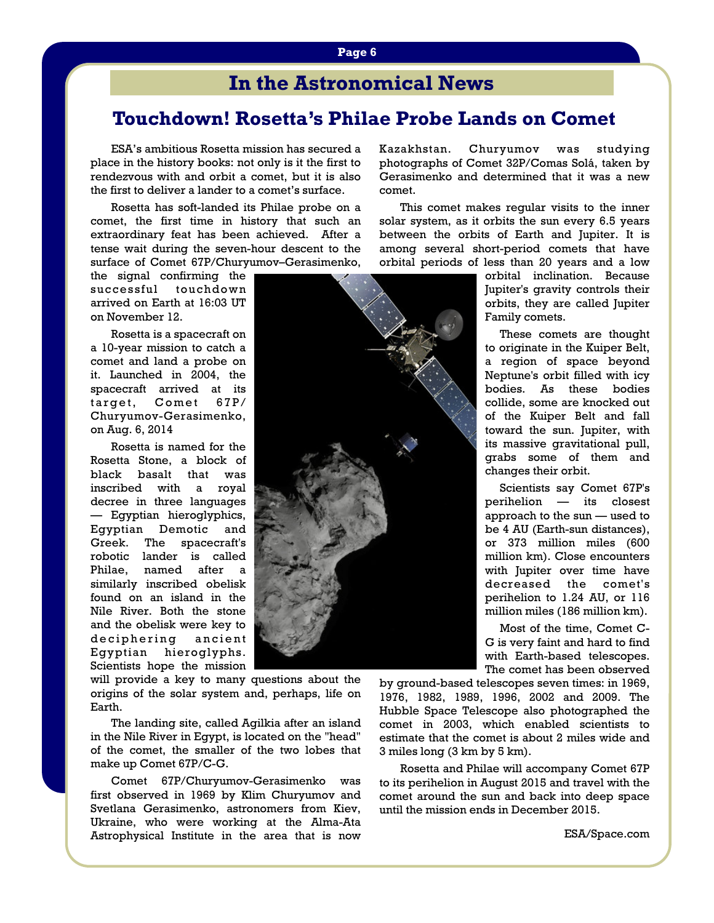# **In the Astronomical News**

# **Touchdown! Rosetta's Philae Probe Lands on Comet**

 ESA's ambitious Rosetta mission has secured a place in the history books: not only is it the first to rendezvous with and orbit a comet, but it is also the first to deliver a lander to a comet's surface.

 Rosetta has soft-landed its Philae probe on a comet, the first time in history that such an extraordinary feat has been achieved. After a tense wait during the seven-hour descent to the surface of Comet 67P/Churyumov–Gerasimenko,

the signal confirming the successful touchdown arrived on Earth at 16:03 UT on November 12.

 Rosetta is a spacecraft on a 10-year mission to catch a comet and land a probe on it. Launched in 2004, the spacecraft arrived at its target, Comet 67P/ Churyumov-Gerasimenko, on Aug. 6, 2014

 Rosetta is named for the Rosetta Stone, a block of black basalt that was inscribed with a royal decree in three languages — Egyptian hieroglyphics, Egyptian Demotic and Greek. The spacecraft's robotic lander is called Philae, named after a similarly inscribed obelisk found on an island in the Nile River. Both the stone and the obelisk were key to deciphering ancient Egyptian hieroglyphs. Scientists hope the mission

will provide a key to many questions about the origins of the solar system and, perhaps, life on Earth.

 The landing site, called Agilkia after an island in the Nile River in Egypt, is located on the "head" of the comet, the smaller of the two lobes that make up Comet 67P/C-G.

 Comet 67P/Churyumov-Gerasimenko was first observed in 1969 by Klim Churyumov and Svetlana Gerasimenko, astronomers from Kiev, Ukraine, who were working at the Alma-Ata Astrophysical Institute in the area that is now

Kazakhstan. Churyumov was studying photographs of Comet 32P/Comas Solá, taken by Gerasimenko and determined that it was a new comet.

 This comet makes regular visits to the inner solar system, as it orbits the sun every 6.5 years between the orbits of Earth and Jupiter. It is among several short-period comets that have orbital periods of less than 20 years and a low

orbital inclination. Because Jupiter's gravity controls their orbits, they are called Jupiter Family comets.

 These comets are thought to originate in the Kuiper Belt, a region of space beyond Neptune's orbit filled with icy bodies. As these bodies collide, some are knocked out of the Kuiper Belt and fall toward the sun. Jupiter, with its massive gravitational pull, grabs some of them and changes their orbit.

 Scientists say Comet 67P's perihelion — its closest approach to the sun — used to be 4 AU (Earth-sun distances), or 373 million miles (600 million km). Close encounters with Jupiter over time have decreased the comet's perihelion to 1.24 AU, or 116 million miles (186 million km).

 Most of the time, Comet C-G is very faint and hard to find with Earth-based telescopes. The comet has been observed

by ground-based telescopes seven times: in 1969, 1976, 1982, 1989, 1996, 2002 and 2009. The Hubble Space Telescope also photographed the comet in 2003, which enabled scientists to estimate that the comet is about 2 miles wide and 3 miles long (3 km by 5 km).

 Rosetta and Philae will accompany Comet 67P to its perihelion in August 2015 and travel with the comet around the sun and back into deep space until the mission ends in December 2015.

ESA/Space.com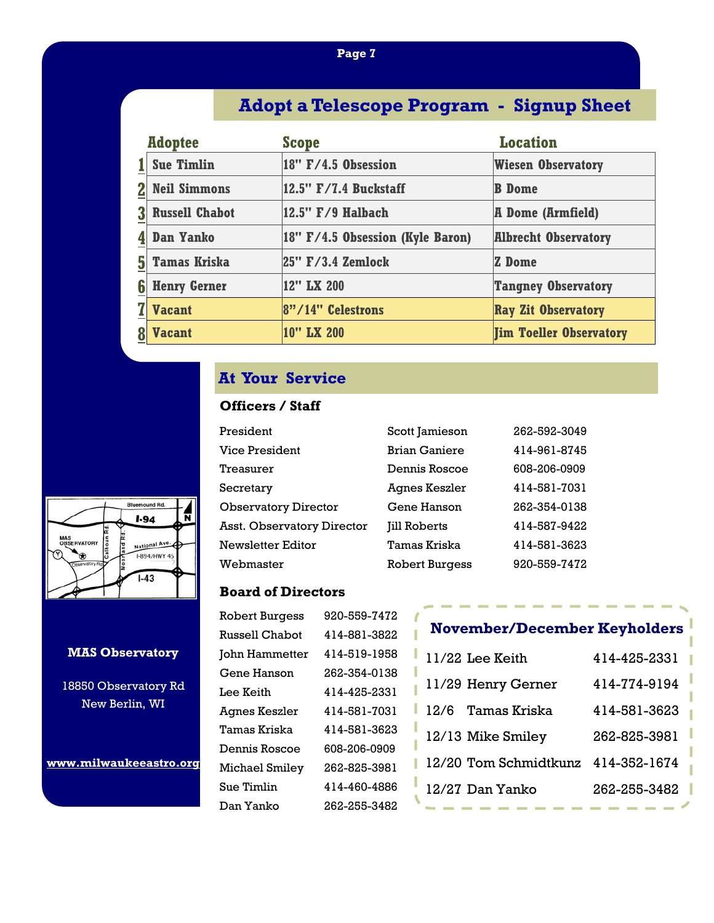# **Adopt a Telescope Program - Signup Sheet**

|   | <b>Adoptee</b>        | <b>Scope</b>                     | <b>Location</b>                |
|---|-----------------------|----------------------------------|--------------------------------|
|   | <b>Sue Timlin</b>     | $18" F/4.5$ Obsession            | <b>Wiesen Observatory</b>      |
|   | <b>Neil Simmons</b>   | 12.5" F/7.4 Buckstaff            | <b>B</b> Dome                  |
|   | <b>Russell Chabot</b> | 12.5" F/9 Halbach                | <b>A Dome (Armfield)</b>       |
|   | <b>Dan Yanko</b>      | 18" F/4.5 Obsession (Kyle Baron) | <b>Albrecht Observatory</b>    |
|   | <b>Tamas Kriska</b>   | $ 25"$ $F/3.4$ Zemlock           | <b>Z</b> Dome                  |
| 6 | <b>Henry Gerner</b>   | 12" LX 200                       | <b>Tangney Observatory</b>     |
|   | <b>Vacant</b>         | $ 8" / 14"$ Celestrons           | <b>Ray Zit Observatory</b>     |
|   | <b>Vacant</b>         | 10" LX 200                       | <b>Tim Toeller Observatory</b> |

## **At Your Service**

### **Officers / Staff**

| President                   | Scott Jamieson        | 262-592-3049 |
|-----------------------------|-----------------------|--------------|
| Vice President              | <b>Brian Ganiere</b>  | 414-961-8745 |
| Treasurer                   | Dennis Roscoe         | 608-206-0909 |
| Secretary                   | Agnes Keszler         | 414-581-7031 |
| <b>Observatory Director</b> | Gene Hanson           | 262-354-0138 |
| Asst. Observatory Director  | <b>Jill Roberts</b>   | 414-587-9422 |
| <b>Newsletter Editor</b>    | Tamas Kriska          | 414-581-3623 |
| Webmaster                   | <b>Robert Burgess</b> | 920-559-7472 |

### **Board of Directors**

| <b>Robert Burgess</b> | 920-559-7472 |
|-----------------------|--------------|
| Russell Chabot        | 414-881-3822 |
| John Hammetter        | 414-519-1958 |
| Gene Hanson           | 262-354-0138 |
| Lee Keith             | 414-425-2331 |
| <b>Agnes Keszler</b>  | 414-581-7031 |
| Tamas Kriska          | 414-581-3623 |
| Dennis Roscoe         | 608-206-0909 |
| Michael Smiley        | 262-825-3981 |
| Sue Timlin            | 414-460-4886 |
| Dan Yanko             | 262-255-3482 |
|                       |              |

# **November/December Keyholders**

| 11/29 Henry Gerner<br>414-774-9194   |
|--------------------------------------|
|                                      |
| Tamas Kriska<br>414-581-3623<br>12/6 |
| 12/13 Mike Smiley<br>262-825-3981    |
| 12/20 Tom Schmidtkunz 414-352-1674   |
| 262-255-3482<br>12/27 Dan Yanko      |



#### **MAS Observatory**

18850 Observatory Rd New Berlin, WI

**www.milwaukeeastro.org**